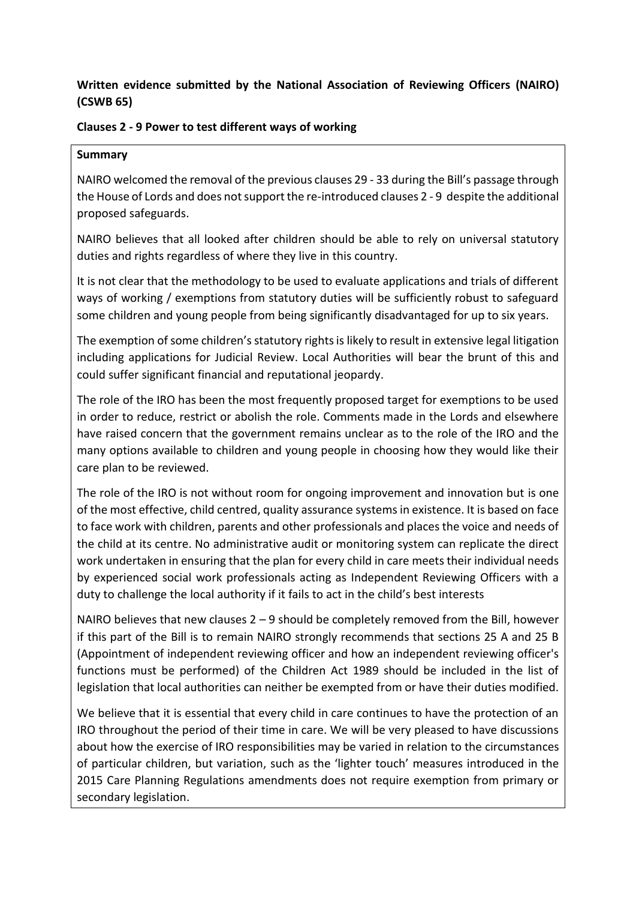## **Written evidence submitted by the National Association of Reviewing Officers (NAIRO) (CSWB 65)**

## **Clauses 2 - 9 Power to test different ways of working**

## **Summary**

NAIRO welcomed the removal of the previous clauses 29 - 33 during the Bill's passage through the House of Lords and does not support the re-introduced clauses 2 - 9 despite the additional proposed safeguards.

NAIRO believes that all looked after children should be able to rely on universal statutory duties and rights regardless of where they live in this country.

It is not clear that the methodology to be used to evaluate applications and trials of different ways of working / exemptions from statutory duties will be sufficiently robust to safeguard some children and young people from being significantly disadvantaged for up to six years.

The exemption of some children's statutory rights is likely to result in extensive legal litigation including applications for Judicial Review. Local Authorities will bear the brunt of this and could suffer significant financial and reputational jeopardy.

The role of the IRO has been the most frequently proposed target for exemptions to be used in order to reduce, restrict or abolish the role. Comments made in the Lords and elsewhere have raised concern that the government remains unclear as to the role of the IRO and the many options available to children and young people in choosing how they would like their care plan to be reviewed.

The role of the IRO is not without room for ongoing improvement and innovation but is one of the most effective, child centred, quality assurance systems in existence. It is based on face to face work with children, parents and other professionals and places the voice and needs of the child at its centre. No administrative audit or monitoring system can replicate the direct work undertaken in ensuring that the plan for every child in care meets their individual needs by experienced social work professionals acting as Independent Reviewing Officers with a duty to challenge the local authority if it fails to act in the child's best interests

NAIRO believes that new clauses 2 – 9 should be completely removed from the Bill, however if this part of the Bill is to remain NAIRO strongly recommends that sections 25 A and 25 B (Appointment of independent reviewing officer and how an independent reviewing officer's functions must be performed) of the Children Act 1989 should be included in the list of legislation that local authorities can neither be exempted from or have their duties modified.

We believe that it is essential that every child in care continues to have the protection of an IRO throughout the period of their time in care. We will be very pleased to have discussions about how the exercise of IRO responsibilities may be varied in relation to the circumstances of particular children, but variation, such as the 'lighter touch' measures introduced in the 2015 Care Planning Regulations amendments does not require exemption from primary or secondary legislation.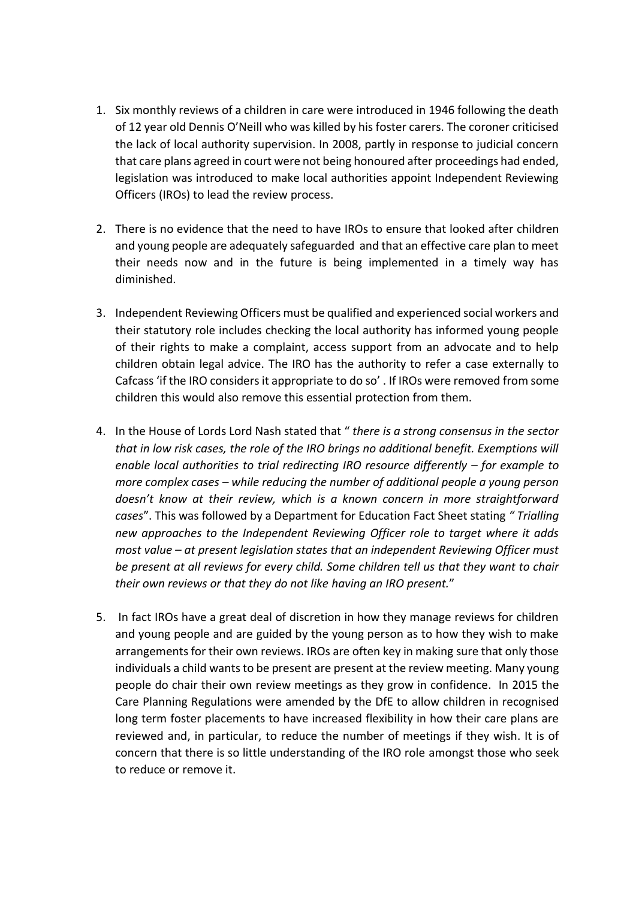- 1. Six monthly reviews of a children in care were introduced in 1946 following the death of 12 year old Dennis O'Neill who was killed by his foster carers. The coroner criticised the lack of local authority supervision. In 2008, partly in response to judicial concern that care plans agreed in court were not being honoured after proceedings had ended, legislation was introduced to make local authorities appoint Independent Reviewing Officers (IROs) to lead the review process.
- 2. There is no evidence that the need to have IROs to ensure that looked after children and young people are adequately safeguarded and that an effective care plan to meet their needs now and in the future is being implemented in a timely way has diminished.
- 3. Independent Reviewing Officers must be qualified and experienced social workers and their statutory role includes checking the local authority has informed young people of their rights to make a complaint, access support from an advocate and to help children obtain legal advice. The IRO has the authority to refer a case externally to Cafcass 'if the IRO considers it appropriate to do so' . If IROs were removed from some children this would also remove this essential protection from them.
- 4. In the House of Lords Lord Nash stated that " *there is a strong consensus in the sector that in low risk cases, the role of the IRO brings no additional benefit. Exemptions will enable local authorities to trial redirecting IRO resource differently – for example to more complex cases – while reducing the number of additional people a young person doesn't know at their review, which is a known concern in more straightforward cases*". This was followed by a Department for Education Fact Sheet stating *" Trialling new approaches to the Independent Reviewing Officer role to target where it adds most value – at present legislation states that an independent Reviewing Officer must be present at all reviews for every child. Some children tell us that they want to chair their own reviews or that they do not like having an IRO present.*"
- 5. In fact IROs have a great deal of discretion in how they manage reviews for children and young people and are guided by the young person as to how they wish to make arrangements for their own reviews. IROs are often key in making sure that only those individuals a child wants to be present are present at the review meeting. Many young people do chair their own review meetings as they grow in confidence. In 2015 the Care Planning Regulations were amended by the DfE to allow children in recognised long term foster placements to have increased flexibility in how their care plans are reviewed and, in particular, to reduce the number of meetings if they wish. It is of concern that there is so little understanding of the IRO role amongst those who seek to reduce or remove it.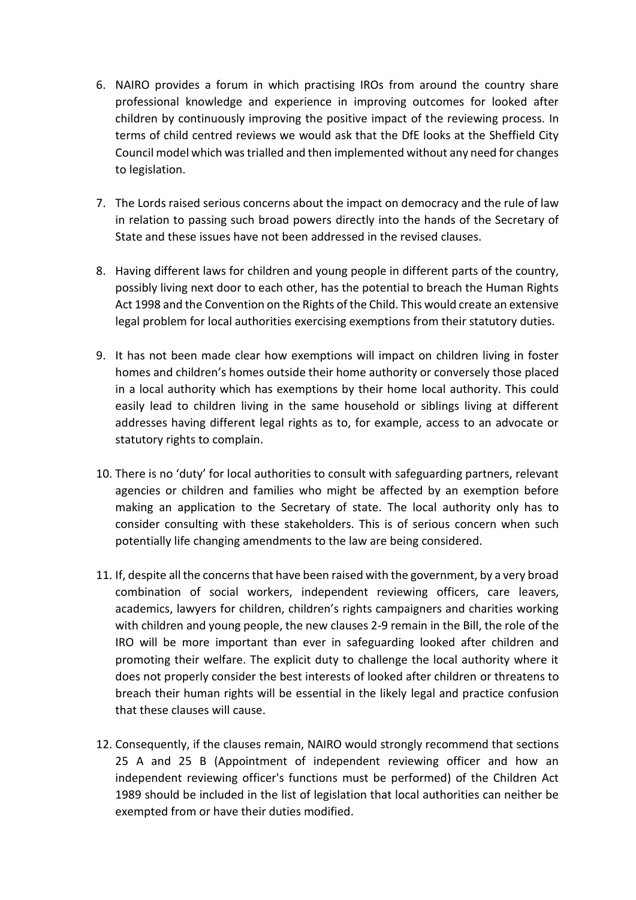- 6. NAIRO provides a forum in which practising IROs from around the country share professional knowledge and experience in improving outcomes for looked after children by continuously improving the positive impact of the reviewing process. In terms of child centred reviews we would ask that the DfE looks at the Sheffield City Council model which was trialled and then implemented without any need for changes to legislation.
- 7. The Lords raised serious concerns about the impact on democracy and the rule of law in relation to passing such broad powers directly into the hands of the Secretary of State and these issues have not been addressed in the revised clauses.
- 8. Having different laws for children and young people in different parts of the country, possibly living next door to each other, has the potential to breach the Human Rights Act 1998 and the Convention on the Rights of the Child. This would create an extensive legal problem for local authorities exercising exemptions from their statutory duties.
- 9. It has not been made clear how exemptions will impact on children living in foster homes and children's homes outside their home authority or conversely those placed in a local authority which has exemptions by their home local authority. This could easily lead to children living in the same household or siblings living at different addresses having different legal rights as to, for example, access to an advocate or statutory rights to complain.
- 10. There is no 'duty' for local authorities to consult with safeguarding partners, relevant agencies or children and families who might be affected by an exemption before making an application to the Secretary of state. The local authority only has to consider consulting with these stakeholders. This is of serious concern when such potentially life changing amendments to the law are being considered.
- 11. If, despite all the concerns that have been raised with the government, by a very broad combination of social workers, independent reviewing officers, care leavers, academics, lawyers for children, children's rights campaigners and charities working with children and young people, the new clauses 2-9 remain in the Bill, the role of the IRO will be more important than ever in safeguarding looked after children and promoting their welfare. The explicit duty to challenge the local authority where it does not properly consider the best interests of looked after children or threatens to breach their human rights will be essential in the likely legal and practice confusion that these clauses will cause.
- 12. Consequently, if the clauses remain, NAIRO would strongly recommend that sections 25 A and 25 B (Appointment of independent reviewing officer and how an independent reviewing officer's functions must be performed) of the Children Act 1989 should be included in the list of legislation that local authorities can neither be exempted from or have their duties modified.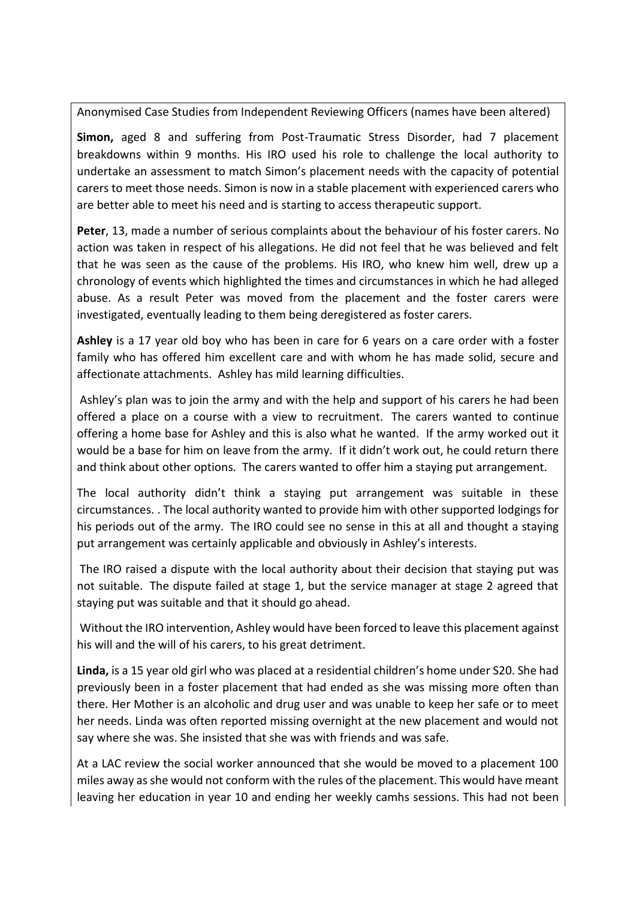Anonymised Case Studies from Independent Reviewing Officers (names have been altered)

**Simon,** aged 8 and suffering from Post-Traumatic Stress Disorder, had 7 placement breakdowns within 9 months. His IRO used his role to challenge the local authority to undertake an assessment to match Simon's placement needs with the capacity of potential carers to meet those needs. Simon is now in a stable placement with experienced carers who are better able to meet his need and is starting to access therapeutic support.

**Peter**, 13, made a number of serious complaints about the behaviour of his foster carers. No action was taken in respect of his allegations. He did not feel that he was believed and felt that he was seen as the cause of the problems. His IRO, who knew him well, drew up a chronology of events which highlighted the times and circumstances in which he had alleged abuse. As a result Peter was moved from the placement and the foster carers were investigated, eventually leading to them being deregistered as foster carers.

**Ashley** is a 17 year old boy who has been in care for 6 years on a care order with a foster family who has offered him excellent care and with whom he has made solid, secure and affectionate attachments. Ashley has mild learning difficulties.

Ashley's plan was to join the army and with the help and support of his carers he had been offered a place on a course with a view to recruitment. The carers wanted to continue offering a home base for Ashley and this is also what he wanted. If the army worked out it would be a base for him on leave from the army. If it didn't work out, he could return there and think about other options. The carers wanted to offer him a staying put arrangement.

The local authority didn't think a staying put arrangement was suitable in these circumstances. . The local authority wanted to provide him with other supported lodgings for his periods out of the army. The IRO could see no sense in this at all and thought a staying put arrangement was certainly applicable and obviously in Ashley's interests.

The IRO raised a dispute with the local authority about their decision that staying put was not suitable. The dispute failed at stage 1, but the service manager at stage 2 agreed that staying put was suitable and that it should go ahead.

Without the IRO intervention, Ashley would have been forced to leave this placement against his will and the will of his carers, to his great detriment.

**Linda,** is a 15 year old girl who was placed at a residential children's home under S20. She had previously been in a foster placement that had ended as she was missing more often than there. Her Mother is an alcoholic and drug user and was unable to keep her safe or to meet her needs. Linda was often reported missing overnight at the new placement and would not say where she was. She insisted that she was with friends and was safe.

At a LAC review the social worker announced that she would be moved to a placement 100 miles away as she would not conform with the rules of the placement. This would have meant leaving her education in year 10 and ending her weekly camhs sessions. This had not been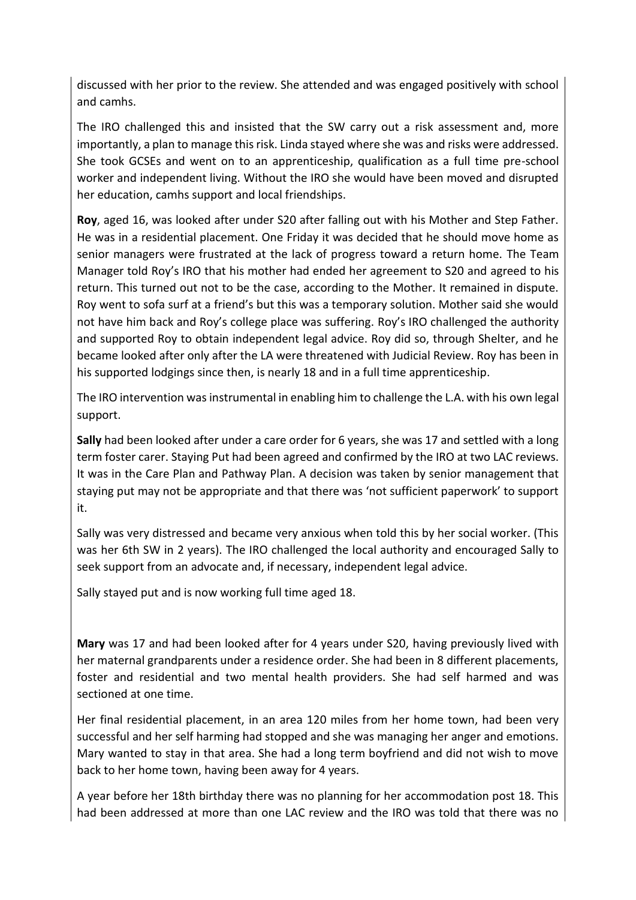discussed with her prior to the review. She attended and was engaged positively with school and camhs.

The IRO challenged this and insisted that the SW carry out a risk assessment and, more importantly, a plan to manage this risk. Linda stayed where she was and risks were addressed. She took GCSEs and went on to an apprenticeship, qualification as a full time pre-school worker and independent living. Without the IRO she would have been moved and disrupted her education, camhs support and local friendships.

**Roy**, aged 16, was looked after under S20 after falling out with his Mother and Step Father. He was in a residential placement. One Friday it was decided that he should move home as senior managers were frustrated at the lack of progress toward a return home. The Team Manager told Roy's IRO that his mother had ended her agreement to S20 and agreed to his return. This turned out not to be the case, according to the Mother. It remained in dispute. Roy went to sofa surf at a friend's but this was a temporary solution. Mother said she would not have him back and Roy's college place was suffering. Roy's IRO challenged the authority and supported Roy to obtain independent legal advice. Roy did so, through Shelter, and he became looked after only after the LA were threatened with Judicial Review. Roy has been in his supported lodgings since then, is nearly 18 and in a full time apprenticeship.

The IRO intervention was instrumental in enabling him to challenge the L.A. with his own legal support.

**Sally** had been looked after under a care order for 6 years, she was 17 and settled with a long term foster carer. Staying Put had been agreed and confirmed by the IRO at two LAC reviews. It was in the Care Plan and Pathway Plan. A decision was taken by senior management that staying put may not be appropriate and that there was 'not sufficient paperwork' to support it.

Sally was very distressed and became very anxious when told this by her social worker. (This was her 6th SW in 2 years). The IRO challenged the local authority and encouraged Sally to seek support from an advocate and, if necessary, independent legal advice.

Sally stayed put and is now working full time aged 18.

**Mary** was 17 and had been looked after for 4 years under S20, having previously lived with her maternal grandparents under a residence order. She had been in 8 different placements, foster and residential and two mental health providers. She had self harmed and was sectioned at one time.

Her final residential placement, in an area 120 miles from her home town, had been very successful and her self harming had stopped and she was managing her anger and emotions. Mary wanted to stay in that area. She had a long term boyfriend and did not wish to move back to her home town, having been away for 4 years.

A year before her 18th birthday there was no planning for her accommodation post 18. This had been addressed at more than one LAC review and the IRO was told that there was no